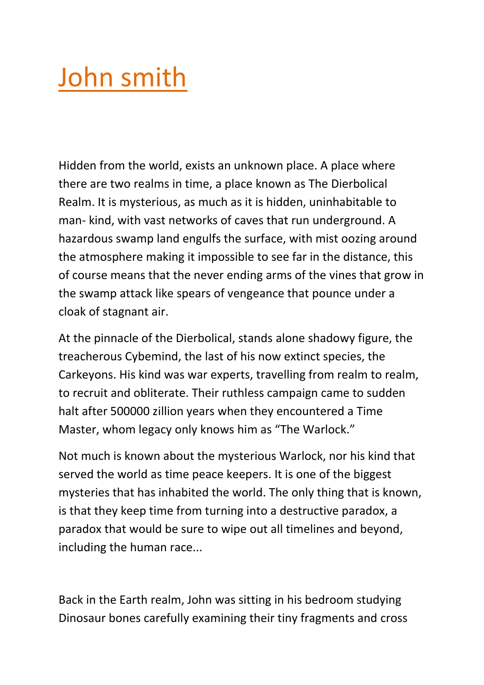## John smith

Hidden from the world, exists an unknown place. A place where there are two realms in time, a place known as The Dierbolical Realm. It is mysterious, as much as it is hidden, uninhabitable to man- kind, with vast networks of caves that run underground. A hazardous swamp land engulfs the surface, with mist oozing around the atmosphere making it impossible to see far in the distance, this of course means that the never ending arms of the vines that grow in the swamp attack like spears of vengeance that pounce under a cloak of stagnant air.

At the pinnacle of the Dierbolical, stands alone shadowy figure, the treacherous Cybemind, the last of his now extinct species, the Carkeyons. His kind was war experts, travelling from realm to realm, to recruit and obliterate. Their ruthless campaign came to sudden halt after 500000 zillion years when they encountered a Time Master, whom legacy only knows him as "The Warlock."

Not much is known about the mysterious Warlock, nor his kind that served the world as time peace keepers. It is one of the biggest mysteries that has inhabited the world. The only thing that is known, is that they keep time from turning into a destructive paradox, a paradox that would be sure to wipe out all timelines and beyond, including the human race...

Back in the Earth realm, John was sitting in his bedroom studying Dinosaur bones carefully examining their tiny fragments and cross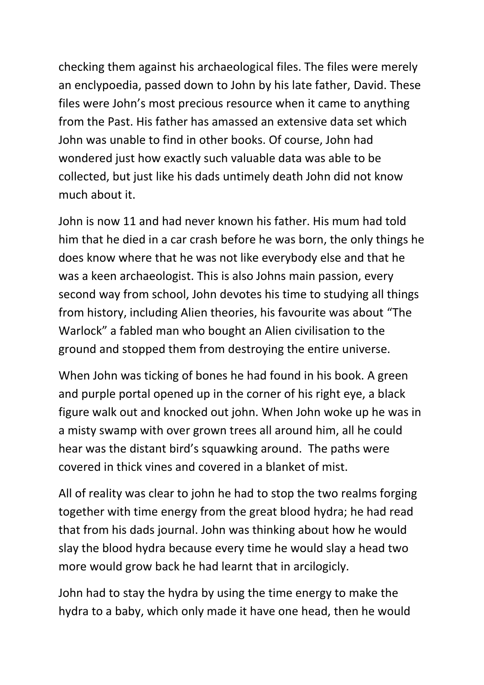checking them against his archaeological files. The files were merely an enclypoedia, passed down to John by his late father, David. These files were John's most precious resource when it came to anything from the Past. His father has amassed an extensive data set which John was unable to find in other books. Of course, John had wondered just how exactly such valuable data was able to be collected, but just like his dads untimely death John did not know much about it.

John is now 11 and had never known his father. His mum had told him that he died in a car crash before he was born, the only things he does know where that he was not like everybody else and that he was a keen archaeologist. This is also Johns main passion, every second way from school, John devotes his time to studying all things from history, including Alien theories, his favourite was about "The Warlock" a fabled man who bought an Alien civilisation to the ground and stopped them from destroying the entire universe.

When John was ticking of bones he had found in his book. A green and purple portal opened up in the corner of his right eye, a black figure walk out and knocked out john. When John woke up he was in a misty swamp with over grown trees all around him, all he could hear was the distant bird's squawking around. The paths were covered in thick vines and covered in a blanket of mist.

All of reality was clear to john he had to stop the two realms forging together with time energy from the great blood hydra; he had read that from his dads journal. John was thinking about how he would slay the blood hydra because every time he would slay a head two more would grow back he had learnt that in arcilogicly.

John had to stay the hydra by using the time energy to make the hydra to a baby, which only made it have one head, then he would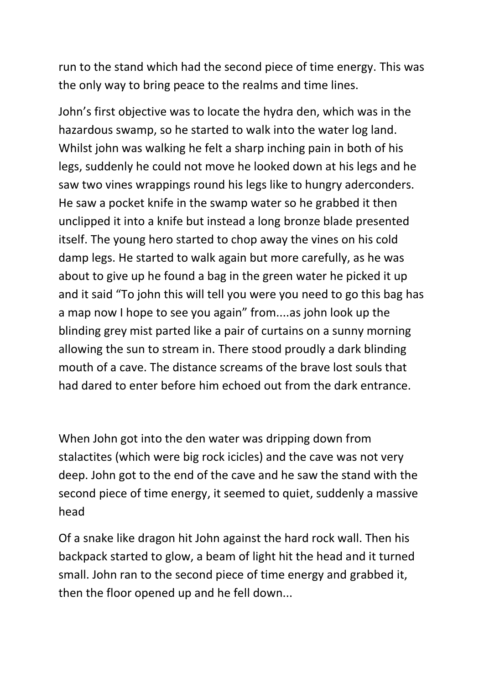run to the stand which had the second piece of time energy. This was the only way to bring peace to the realms and time lines.

John's first objective was to locate the hydra den, which was in the hazardous swamp, so he started to walk into the water log land. Whilst john was walking he felt a sharp inching pain in both of his legs, suddenly he could not move he looked down at his legs and he saw two vines wrappings round his legs like to hungry aderconders. He saw a pocket knife in the swamp water so he grabbed it then unclipped it into a knife but instead a long bronze blade presented itself. The young hero started to chop away the vines on his cold damp legs. He started to walk again but more carefully, as he was about to give up he found a bag in the green water he picked it up and it said "To john this will tell you were you need to go this bag has a map now I hope to see you again" from....as john look up the blinding grey mist parted like a pair of curtains on a sunny morning allowing the sun to stream in. There stood proudly a dark blinding mouth of a cave. The distance screams of the brave lost souls that had dared to enter before him echoed out from the dark entrance.

When John got into the den water was dripping down from stalactites (which were big rock icicles) and the cave was not very deep. John got to the end of the cave and he saw the stand with the second piece of time energy, it seemed to quiet, suddenly a massive head

Of a snake like dragon hit John against the hard rock wall. Then his backpack started to glow, a beam of light hit the head and it turned small. John ran to the second piece of time energy and grabbed it, then the floor opened up and he fell down...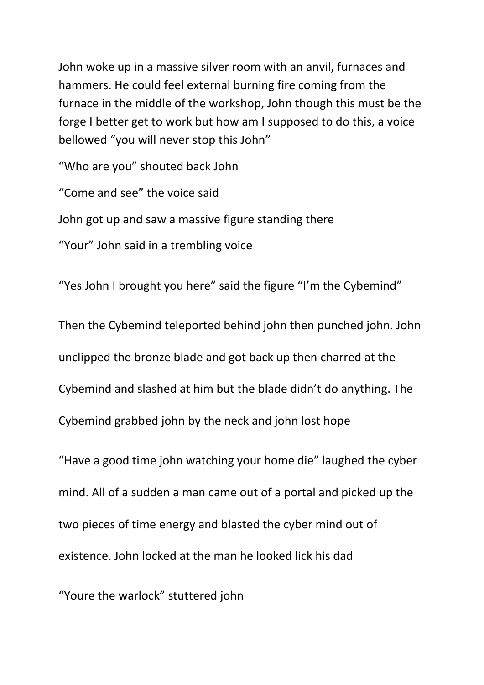John woke up in a massive silver room with an anvil, furnaces and hammers. He could feel external burning fire coming from the furnace in the middle of the workshop, John though this must be the forge I better get to work but how am I supposed to do this, a voice bellowed "you will never stop this John"

"Who are you" shouted back John

"Come and see" the voice said

John got up and saw a massive figure standing there

"Your" John said in a trembling voice

"Yes John I brought you here" said the figure "I'm the Cybemind"

Then the Cybemind teleported behind john then punched john. John unclipped the bronze blade and got back up then charred at the Cybemind and slashed at him but the blade didn't do anything. The Cybemind grabbed john by the neck and john lost hope

"Have a good time john watching your home die" laughed the cyber mind. All of a sudden a man came out of a portal and picked up the two pieces of time energy and blasted the cyber mind out of existence. John locked at the man he looked lick his dad

"Youre the warlock" stuttered john